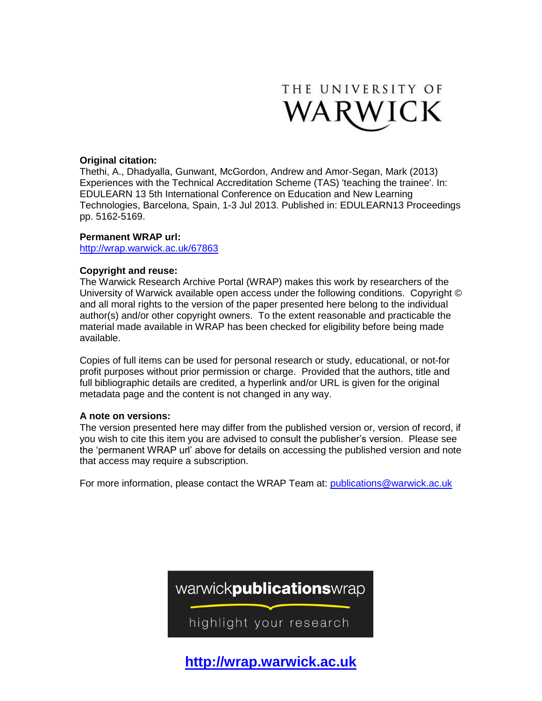

### **Original citation:**

Thethi, A., Dhadyalla, Gunwant, McGordon, Andrew and Amor-Segan, Mark (2013) Experiences with the Technical Accreditation Scheme (TAS) 'teaching the trainee'. In: EDULEARN 13 5th International Conference on Education and New Learning Technologies, Barcelona, Spain, 1-3 Jul 2013. Published in: EDULEARN13 Proceedings pp. 5162-5169.

### **Permanent WRAP url:**

<http://wrap.warwick.ac.uk/67863>

### **Copyright and reuse:**

The Warwick Research Archive Portal (WRAP) makes this work by researchers of the University of Warwick available open access under the following conditions. Copyright © and all moral rights to the version of the paper presented here belong to the individual author(s) and/or other copyright owners. To the extent reasonable and practicable the material made available in WRAP has been checked for eligibility before being made available.

Copies of full items can be used for personal research or study, educational, or not-for profit purposes without prior permission or charge. Provided that the authors, title and full bibliographic details are credited, a hyperlink and/or URL is given for the original metadata page and the content is not changed in any way.

### **A note on versions:**

The version presented here may differ from the published version or, version of record, if you wish to cite this item you are advised to consult the publisher's version. Please see the 'permanent WRAP url' above for details on accessing the published version and note that access may require a subscription.

For more information, please contact the WRAP Team at: [publications@warwick.ac.uk](mailto:publications@warwick.ac.uk)



**[http://wrap.warwick.ac.uk](http://wrap.warwick.ac.uk/)**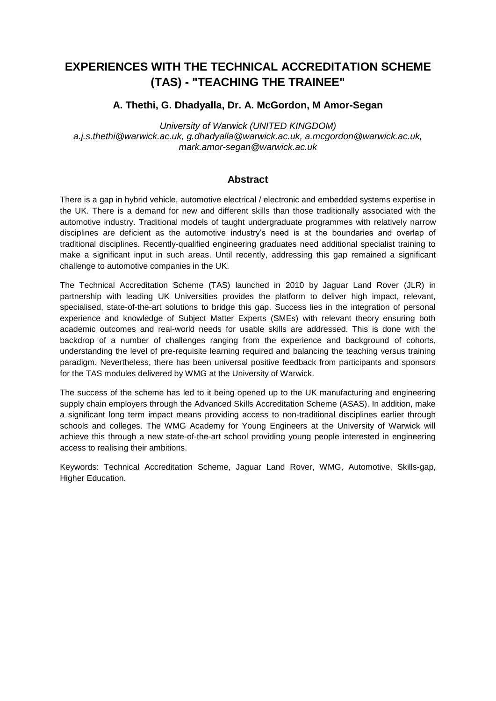# **EXPERIENCES WITH THE TECHNICAL ACCREDITATION SCHEME (TAS) - "TEACHING THE TRAINEE"**

## **A. Thethi, G. Dhadyalla, Dr. A. McGordon, M Amor-Segan**

*University of Warwick (UNITED KINGDOM) a.j.s.thethi@warwick.ac.uk, g.dhadyalla@warwick.ac.uk, a.mcgordon@warwick.ac.uk, mark.amor-segan@warwick.ac.uk*

## **Abstract**

There is a gap in hybrid vehicle, automotive electrical / electronic and embedded systems expertise in the UK. There is a demand for new and different skills than those traditionally associated with the automotive industry. Traditional models of taught undergraduate programmes with relatively narrow disciplines are deficient as the automotive industry's need is at the boundaries and overlap of traditional disciplines. Recently-qualified engineering graduates need additional specialist training to make a significant input in such areas. Until recently, addressing this gap remained a significant challenge to automotive companies in the UK.

The Technical Accreditation Scheme (TAS) launched in 2010 by Jaguar Land Rover (JLR) in partnership with leading UK Universities provides the platform to deliver high impact, relevant, specialised, state-of-the-art solutions to bridge this gap. Success lies in the integration of personal experience and knowledge of Subject Matter Experts (SMEs) with relevant theory ensuring both academic outcomes and real-world needs for usable skills are addressed. This is done with the backdrop of a number of challenges ranging from the experience and background of cohorts, understanding the level of pre-requisite learning required and balancing the teaching versus training paradigm. Nevertheless, there has been universal positive feedback from participants and sponsors for the TAS modules delivered by WMG at the University of Warwick.

The success of the scheme has led to it being opened up to the UK manufacturing and engineering supply chain employers through the Advanced Skills Accreditation Scheme (ASAS). In addition, make a significant long term impact means providing access to non-traditional disciplines earlier through schools and colleges. The WMG Academy for Young Engineers at the University of Warwick will achieve this through a new state-of-the-art school providing young people interested in engineering access to realising their ambitions.

Keywords: Technical Accreditation Scheme, Jaguar Land Rover, WMG, Automotive, Skills-gap, Higher Education.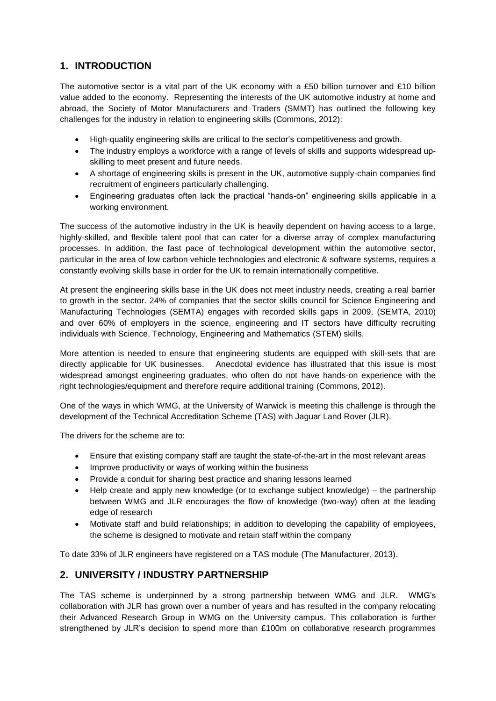## **1. INTRODUCTION**

The automotive sector is a vital part of the UK economy with a £50 billion turnover and £10 billion value added to the economy. Representing the interests of the UK automotive industry at home and abroad, the Society of Motor Manufacturers and Traders (SMMT) has outlined the following key challenges for the industry in relation to engineering skills (Commons, 2012):

- High-quality engineering skills are critical to the sector's competitiveness and growth.
- The industry employs a workforce with a range of levels of skills and supports widespread upskilling to meet present and future needs.
- A shortage of engineering skills is present in the UK, automotive supply-chain companies find recruitment of engineers particularly challenging.
- Engineering graduates often lack the practical "hands-on" engineering skills applicable in a working environment.

The success of the automotive industry in the UK is heavily dependent on having access to a large, highly-skilled, and flexible talent pool that can cater for a diverse array of complex manufacturing processes. In addition, the fast pace of technological development within the automotive sector, particular in the area of low carbon vehicle technologies and electronic & software systems, requires a constantly evolving skills base in order for the UK to remain internationally competitive.

At present the engineering skills base in the UK does not meet industry needs, creating a real barrier to growth in the sector. 24% of companies that the sector skills council for Science Engineering and Manufacturing Technologies (SEMTA) engages with recorded skills gaps in 2009, (SEMTA, 2010) and over 60% of employers in the science, engineering and IT sectors have difficulty recruiting individuals with Science, Technology, Engineering and Mathematics (STEM) skills.

More attention is needed to ensure that engineering students are equipped with skill-sets that are directly applicable for UK businesses. Anecdotal evidence has illustrated that this issue is most widespread amongst engineering graduates, who often do not have hands-on experience with the right technologies/equipment and therefore require additional training (Commons, 2012).

One of the ways in which WMG, at the University of Warwick is meeting this challenge is through the development of the Technical Accreditation Scheme (TAS) with Jaguar Land Rover (JLR).

The drivers for the scheme are to:

- Ensure that existing company staff are taught the state-of-the-art in the most relevant areas
- Improve productivity or ways of working within the business
- Provide a conduit for sharing best practice and sharing lessons learned
- Help create and apply new knowledge (or to exchange subject knowledge) the partnership between WMG and JLR encourages the flow of knowledge (two-way) often at the leading edge of research
- Motivate staff and build relationships; in addition to developing the capability of employees, the scheme is designed to motivate and retain staff within the company

To date 33% of JLR engineers have registered on a TAS module (The Manufacturer, 2013).

## **2. UNIVERSITY / INDUSTRY PARTNERSHIP**

The TAS scheme is underpinned by a strong partnership between WMG and JLR. WMG's collaboration with JLR has grown over a number of years and has resulted in the company relocating their Advanced Research Group in WMG on the University campus. This collaboration is further strengthened by JLR's decision to spend more than £100m on collaborative research programmes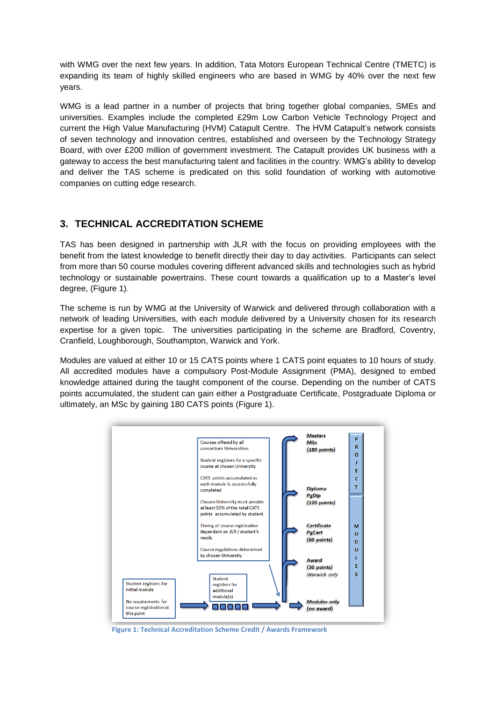with WMG over the next few years. In addition, Tata Motors European Technical Centre (TMETC) is expanding its team of highly skilled engineers who are based in WMG by 40% over the next few years.

WMG is a lead partner in a number of projects that bring together global companies, SMEs and universities. Examples include the completed £29m Low Carbon Vehicle Technology Project and current the High Value Manufacturing (HVM) Catapult Centre. The HVM Catapult's network consists of seven technology and innovation centres, established and overseen by the Technology Strategy Board, with over £200 million of government investment. The Catapult provides UK business with a gateway to access the best manufacturing talent and facilities in the country. WMG's ability to develop and deliver the TAS scheme is predicated on this solid foundation of working with automotive companies on cutting edge research.

## **3. TECHNICAL ACCREDITATION SCHEME**

TAS has been designed in partnership with JLR with the focus on providing employees with the benefit from the latest knowledge to benefit directly their day to day activities. Participants can select from more than 50 course modules covering different advanced skills and technologies such as hybrid technology or sustainable powertrains. These count towards a qualification up to a Master's level degree, (Figure 1).

The scheme is run by WMG at the University of Warwick and delivered through collaboration with a network of leading Universities, with each module delivered by a University chosen for its research expertise for a given topic. The universities participating in the scheme are Bradford, Coventry, Cranfield, Loughborough, Southampton, Warwick and York.

Modules are valued at either 10 or 15 CATS points where 1 CATS point equates to 10 hours of study. All accredited modules have a compulsory Post-Module Assignment (PMA), designed to embed knowledge attained during the taught component of the course. Depending on the number of CATS points accumulated, the student can gain either a Postgraduate Certificate, Postgraduate Diploma or ultimately, an MSc by gaining 180 CATS points (Figure 1).



**Figure 1: Technical Accreditation Scheme Credit / Awards Framework**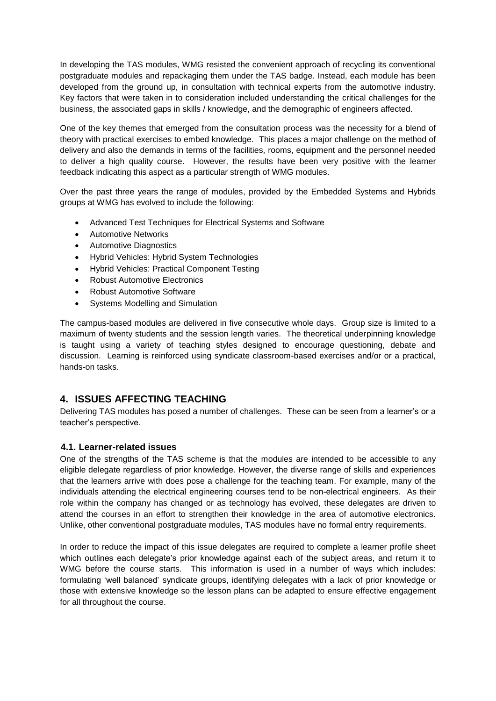In developing the TAS modules, WMG resisted the convenient approach of recycling its conventional postgraduate modules and repackaging them under the TAS badge. Instead, each module has been developed from the ground up, in consultation with technical experts from the automotive industry. Key factors that were taken in to consideration included understanding the critical challenges for the business, the associated gaps in skills / knowledge, and the demographic of engineers affected.

One of the key themes that emerged from the consultation process was the necessity for a blend of theory with practical exercises to embed knowledge. This places a major challenge on the method of delivery and also the demands in terms of the facilities, rooms, equipment and the personnel needed to deliver a high quality course. However, the results have been very positive with the learner feedback indicating this aspect as a particular strength of WMG modules.

Over the past three years the range of modules, provided by the Embedded Systems and Hybrids groups at WMG has evolved to include the following:

- Advanced Test Techniques for Electrical Systems and Software
- Automotive Networks
- Automotive Diagnostics
- Hybrid Vehicles: Hybrid System Technologies
- Hybrid Vehicles: Practical Component Testing
- Robust Automotive Electronics
- Robust Automotive Software
- Systems Modelling and Simulation

The campus-based modules are delivered in five consecutive whole days. Group size is limited to a maximum of twenty students and the session length varies. The theoretical underpinning knowledge is taught using a variety of teaching styles designed to encourage questioning, debate and discussion. Learning is reinforced using syndicate classroom-based exercises and/or or a practical, hands-on tasks.

## **4. ISSUES AFFECTING TEACHING**

Delivering TAS modules has posed a number of challenges. These can be seen from a learner's or a teacher's perspective.

#### **4.1. Learner-related issues**

One of the strengths of the TAS scheme is that the modules are intended to be accessible to any eligible delegate regardless of prior knowledge. However, the diverse range of skills and experiences that the learners arrive with does pose a challenge for the teaching team. For example, many of the individuals attending the electrical engineering courses tend to be non-electrical engineers. As their role within the company has changed or as technology has evolved, these delegates are driven to attend the courses in an effort to strengthen their knowledge in the area of automotive electronics. Unlike, other conventional postgraduate modules, TAS modules have no formal entry requirements.

In order to reduce the impact of this issue delegates are required to complete a learner profile sheet which outlines each delegate's prior knowledge against each of the subject areas, and return it to WMG before the course starts. This information is used in a number of ways which includes: formulating 'well balanced' syndicate groups, identifying delegates with a lack of prior knowledge or those with extensive knowledge so the lesson plans can be adapted to ensure effective engagement for all throughout the course.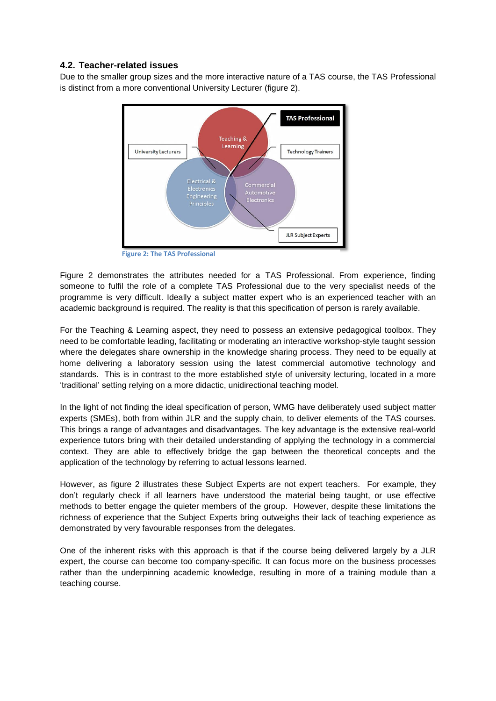## **4.2. Teacher-related issues**

Due to the smaller group sizes and the more interactive nature of a TAS course, the TAS Professional is distinct from a more conventional University Lecturer (figure 2).



**Figure 2: The TAS Professional**

Figure 2 demonstrates the attributes needed for a TAS Professional. From experience, finding someone to fulfil the role of a complete TAS Professional due to the very specialist needs of the programme is very difficult. Ideally a subject matter expert who is an experienced teacher with an academic background is required. The reality is that this specification of person is rarely available.

For the Teaching & Learning aspect, they need to possess an extensive pedagogical toolbox. They need to be comfortable leading, facilitating or moderating an interactive workshop-style taught session where the delegates share ownership in the knowledge sharing process. They need to be equally at home delivering a laboratory session using the latest commercial automotive technology and standards. This is in contrast to the more established style of university lecturing, located in a more 'traditional' setting relying on a more didactic, unidirectional teaching model.

In the light of not finding the ideal specification of person, WMG have deliberately used subject matter experts (SMEs), both from within JLR and the supply chain, to deliver elements of the TAS courses. This brings a range of advantages and disadvantages. The key advantage is the extensive real-world experience tutors bring with their detailed understanding of applying the technology in a commercial context. They are able to effectively bridge the gap between the theoretical concepts and the application of the technology by referring to actual lessons learned.

However, as figure 2 illustrates these Subject Experts are not expert teachers. For example, they don't regularly check if all learners have understood the material being taught, or use effective methods to better engage the quieter members of the group. However, despite these limitations the richness of experience that the Subject Experts bring outweighs their lack of teaching experience as demonstrated by very favourable responses from the delegates.

One of the inherent risks with this approach is that if the course being delivered largely by a JLR expert, the course can become too company-specific. It can focus more on the business processes rather than the underpinning academic knowledge, resulting in more of a training module than a teaching course.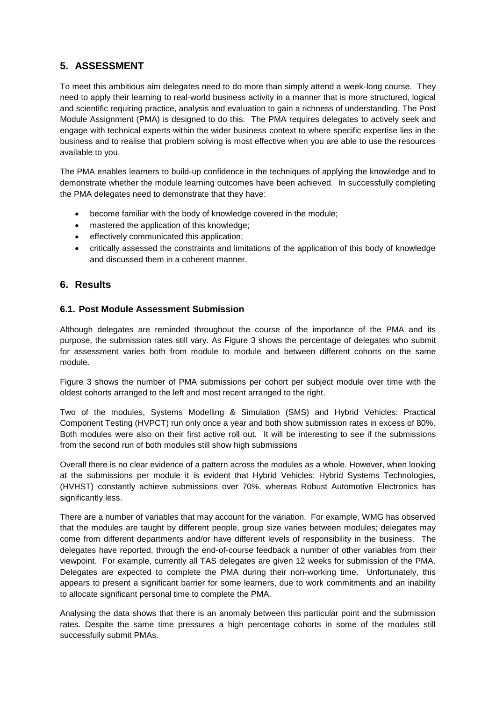## **5. ASSESSMENT**

To meet this ambitious aim delegates need to do more than simply attend a week-long course. They need to apply their learning to real-world business activity in a manner that is more structured, logical and scientific requiring practice, analysis and evaluation to gain a richness of understanding. The Post Module Assignment (PMA) is designed to do this. The PMA requires delegates to actively seek and engage with technical experts within the wider business context to where specific expertise lies in the business and to realise that problem solving is most effective when you are able to use the resources available to you.

The PMA enables learners to build-up confidence in the techniques of applying the knowledge and to demonstrate whether the module learning outcomes have been achieved. In successfully completing the PMA delegates need to demonstrate that they have:

- become familiar with the body of knowledge covered in the module;
- mastered the application of this knowledge:
- effectively communicated this application;
- critically assessed the constraints and limitations of the application of this body of knowledge and discussed them in a coherent manner.

## **6. Results**

## **6.1. Post Module Assessment Submission**

Although delegates are reminded throughout the course of the importance of the PMA and its purpose, the submission rates still vary. As [Figure 3](#page-7-0) shows the percentage of delegates who submit for assessment varies both from module to module and between different cohorts on the same module.

[Figure 3](#page-7-0) shows the number of PMA submissions per cohort per subject module over time with the oldest cohorts arranged to the left and most recent arranged to the right.

Two of the modules, Systems Modelling & Simulation (SMS) and Hybrid Vehicles: Practical Component Testing (HVPCT) run only once a year and both show submission rates in excess of 80%. Both modules were also on their first active roll out. It will be interesting to see if the submissions from the second run of both modules still show high submissions

Overall there is no clear evidence of a pattern across the modules as a whole. However, when looking at the submissions per module it is evident that Hybrid Vehicles: Hybrid Systems Technologies, (HVHST) constantly achieve submissions over 70%, whereas Robust Automotive Electronics has significantly less.

There are a number of variables that may account for the variation. For example, WMG has observed that the modules are taught by different people, group size varies between modules; delegates may come from different departments and/or have different levels of responsibility in the business. The delegates have reported, through the end-of-course feedback a number of other variables from their viewpoint. For example, currently all TAS delegates are given 12 weeks for submission of the PMA. Delegates are expected to complete the PMA during their non-working time. Unfortunately, this appears to present a significant barrier for some learners, due to work commitments and an inability to allocate significant personal time to complete the PMA.

Analysing the data shows that there is an anomaly between this particular point and the submission rates. Despite the same time pressures a high percentage cohorts in some of the modules still successfully submit PMAs.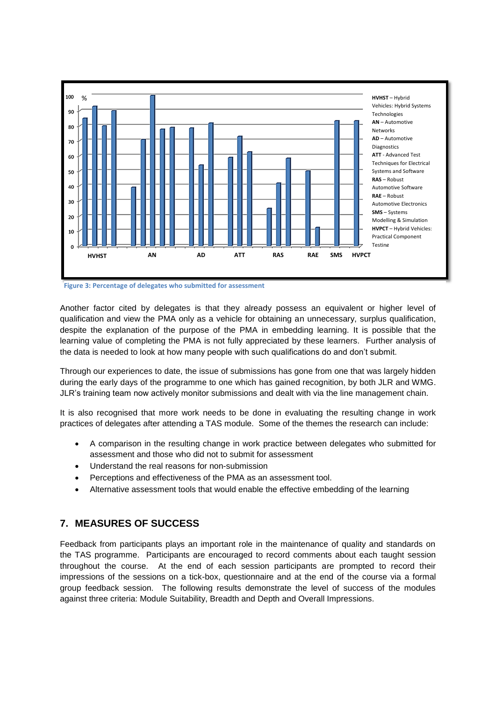

<span id="page-7-0"></span>**Figure 3: Percentage of delegates who submitted for assessment**

Another factor cited by delegates is that they already possess an equivalent or higher level of qualification and view the PMA only as a vehicle for obtaining an unnecessary, surplus qualification, despite the explanation of the purpose of the PMA in embedding learning. It is possible that the learning value of completing the PMA is not fully appreciated by these learners. Further analysis of the data is needed to look at how many people with such qualifications do and don't submit.

Through our experiences to date, the issue of submissions has gone from one that was largely hidden during the early days of the programme to one which has gained recognition, by both JLR and WMG. JLR's training team now actively monitor submissions and dealt with via the line management chain.

It is also recognised that more work needs to be done in evaluating the resulting change in work practices of delegates after attending a TAS module. Some of the themes the research can include:

- A comparison in the resulting change in work practice between delegates who submitted for assessment and those who did not to submit for assessment
- Understand the real reasons for non-submission
- Perceptions and effectiveness of the PMA as an assessment tool.
- Alternative assessment tools that would enable the effective embedding of the learning

## **7. MEASURES OF SUCCESS**

Feedback from participants plays an important role in the maintenance of quality and standards on the TAS programme. Participants are encouraged to record comments about each taught session throughout the course. At the end of each session participants are prompted to record their impressions of the sessions on a tick-box, questionnaire and at the end of the course via a formal group feedback session. The following results demonstrate the level of success of the modules against three criteria: Module Suitability, Breadth and Depth and Overall Impressions.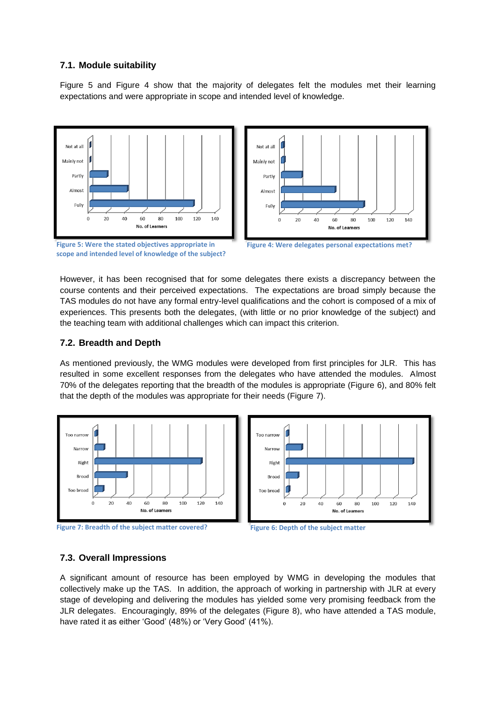### **7.1. Module suitability**

[Figure 5](#page-8-0) and [Figure 4](#page-8-1) show that the majority of delegates felt the modules met their learning expectations and were appropriate in scope and intended level of knowledge.

Not at all

Mainly not



Partly Almost Fully 20 40 60 80 100 120 140 No. of Learners

<span id="page-8-0"></span>Figure 5: Were the stated objectives appropriate in Figure 4: Were delegates personal expectations met? **scope and intended level of knowledge of the subject?**

<span id="page-8-1"></span>

However, it has been recognised that for some delegates there exists a discrepancy between the course contents and their perceived expectations. The expectations are broad simply because the TAS modules do not have any formal entry-level qualifications and the cohort is composed of a mix of experiences. This presents both the delegates, (with little or no prior knowledge of the subject) and the teaching team with additional challenges which can impact this criterion.

### **7.2. Breadth and Depth**

As mentioned previously, the WMG modules were developed from first principles for JLR. This has resulted in some excellent responses from the delegates who have attended the modules. Almost 70% of the delegates reporting that the breadth of the modules is appropriate (Figure 6), and 80% felt that the depth of the modules was appropriate for their needs (Figure 7).









#### **7.3. Overall Impressions**

A significant amount of resource has been employed by WMG in developing the modules that collectively make up the TAS. In addition, the approach of working in partnership with JLR at every stage of developing and delivering the modules has yielded some very promising feedback from the JLR delegates. Encouragingly, 89% of the delegates (Figure 8), who have attended a TAS module, have rated it as either 'Good' (48%) or 'Very Good' (41%).